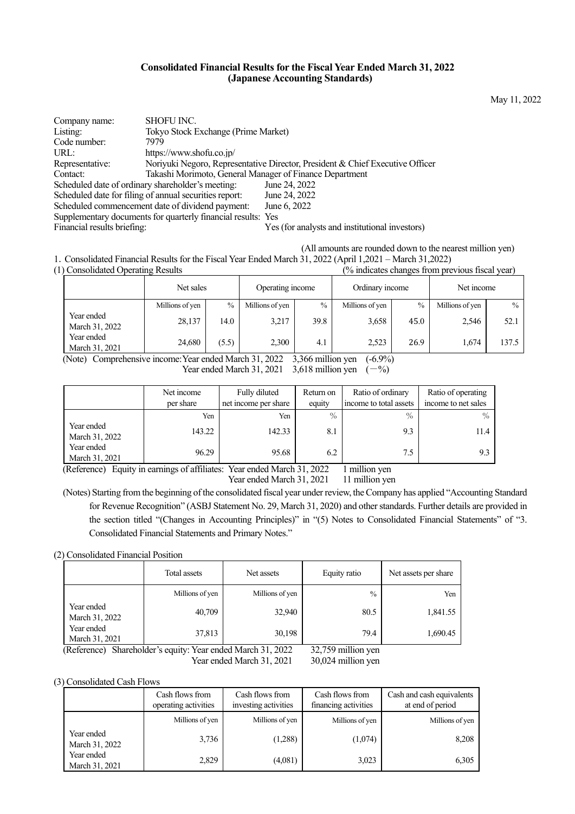### **Consolidated Financial Results for the Fiscal Year Ended March 31, 2022 (Japanese Accounting Standards)**

Company name: SHOFU INC. Listing: Tokyo Stock Exchange (Prime Market) Code number: 7979<br>URL: https: https://www.shofu.co.jp/ Representative: Noriyuki Negoro, Representative Director, President & Chief Executive Officer Contact: Takashi Morimoto, General Manager of Finance Department Scheduled date of ordinary shareholder's meeting: Scheduled date for filing of annual securities report: June 24, 2022 Scheduled commencement date of dividend payment: June 6, 2022 Supplementary documents for quarterly financial results: Yes Financial results briefing: Yes (for analysts and institutional investors)

 (All amounts are rounded down to the nearest million yen) 1.Consolidated Financial Results for the Fiscal Year Ended March 31, 2022 (April 1,2021 – March 31,2022)

(1) Consolidated Operating Results (% indicates changes from previous fiscal year)

|                              | Net sales       |       | Operating income                                                                                                                       |                     | Ordinary income |      | Net income      |       |
|------------------------------|-----------------|-------|----------------------------------------------------------------------------------------------------------------------------------------|---------------------|-----------------|------|-----------------|-------|
|                              | Millions of yen | $\%$  | Millions of yen                                                                                                                        | $\%$                | Millions of yen | $\%$ | Millions of yen | $\%$  |
| Year ended<br>March 31, 2022 | 28,137          | 14.0  | 3,217                                                                                                                                  | 39.8                | 3,658           | 45.0 | 2,546           | 52.1  |
| Year ended<br>March 31, 2021 | 24,680          | (5.5) | 2,300                                                                                                                                  | 4.1                 | 2,523           | 26.9 | 1.674           | 137.5 |
| $\Delta L + \Delta L$        |                 |       | $\overline{M}$ $\overline{M}$ $\overline{M}$ $\overline{M}$ $\overline{M}$ $\overline{M}$ $\overline{M}$ $\overline{M}$ $\overline{M}$ | $2.200$ $-11$ $-11$ | (6.00/3)        |      |                 |       |

 (Note) Comprehensive income: Year ended March 31, 2022 3,366 million yen (-6.9%) Year ended March 31, 2021 3,618 million yen  $(-\%)$ 

|                              | Net income<br>per share | Fully diluted<br>net income per share | Return on<br>equity | Ratio of ordinary<br>income to total assets | Ratio of operating<br>income to net sales |
|------------------------------|-------------------------|---------------------------------------|---------------------|---------------------------------------------|-------------------------------------------|
|                              | Yen                     | Yen                                   | $\%$                | $\%$                                        | $\%$                                      |
| Year ended<br>March 31, 2022 | 143.22                  | 142.33                                | 8.1                 | 9.3                                         | 11.4                                      |
| Year ended<br>March 31, 2021 | 96.29                   | 95.68                                 | 6.2                 | 7.5                                         |                                           |

(Reference) Equity in earnings of affiliates: Year ended March 31, 2022 1 million yen

Year ended March 31, 2021 11 million yen

(Notes) Starting from the beginning of the consolidated fiscal year under review, the Company has applied "Accounting Standard for Revenue Recognition" (ASBJ Statement No. 29, March 31, 2020) and other standards. Further details are provided in the section titled "(Changes in Accounting Principles)" in "(5) Notes to Consolidated Financial Statements" of "3. Consolidated Financial Statements and Primary Notes."

(2) Consolidated Financial Position

|                              | Total assets    | Net assets      | Equity ratio  | Net assets per share |
|------------------------------|-----------------|-----------------|---------------|----------------------|
|                              | Millions of yen | Millions of yen | $\frac{0}{0}$ | Yen                  |
| Year ended<br>March 31, 2022 | 40,709          | 32,940          | 80.5          | 1,841.55             |
| Year ended<br>March 31, 2021 | 37,813          | 30,198          | 79.4          | 1,690.45             |

(Reference) Shareholder's equity: Year ended March 31, 2022 32,759 million yen

Year ended March 31, 2021 30,024 million yen

### (3) Consolidated Cash Flows

|                              | Cash flows from<br>operating activities | Cash flows from<br>investing activities | Cash flows from<br>financing activities | Cash and cash equivalents<br>at end of period |
|------------------------------|-----------------------------------------|-----------------------------------------|-----------------------------------------|-----------------------------------------------|
|                              | Millions of yen                         | Millions of yen                         | Millions of yen                         | Millions of yen                               |
| Year ended<br>March 31, 2022 | 3,736                                   | (1,288)                                 | (1,074)                                 | 8,208                                         |
| Year ended<br>March 31, 2021 | 2,829                                   | (4,081)                                 | 3,023                                   | 6,305                                         |

May 11, 2022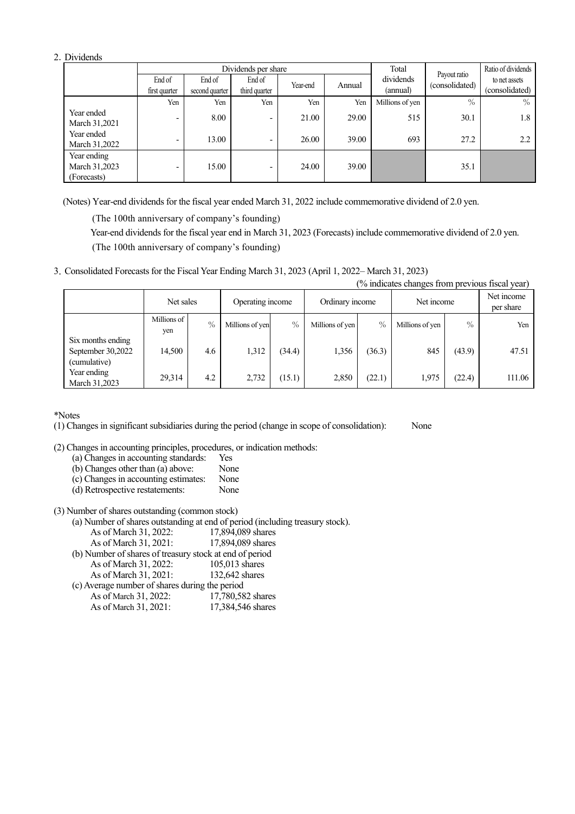### 2.Dividends

|                                             |               |                | Dividends per share      |          |        | Total           |                                | Ratio of dividends |
|---------------------------------------------|---------------|----------------|--------------------------|----------|--------|-----------------|--------------------------------|--------------------|
|                                             | End of        | End of         | End of                   | Year-end | Annual | dividends       | Payout ratio<br>(consolidated) | to net assets      |
|                                             | first quarter | second quarter | third quarter            |          |        | (annual)        |                                | (consolidated)     |
|                                             | Yen           | Yen            | Yen                      | Yen      | Yen    | Millions of yen | $\%$                           | $\%$               |
| Year ended<br>March 31,2021                 | ٠             | 8.00           | $\overline{\phantom{0}}$ | 21.00    | 29.00  | 515             | 30.1                           | 1.8                |
| Year ended<br>March 31,2022                 | -             | 13.00          | $\overline{\phantom{0}}$ | 26.00    | 39.00  | 693             | 27.2                           | 2.2                |
| Year ending<br>March 31,2023<br>(Forecasts) | ٠             | 15.00          |                          | 24.00    | 39.00  |                 | 35.1                           |                    |

(Notes) Year-end dividends for the fiscal year ended March 31, 2022 include commemorative dividend of 2.0 yen.

(The 100th anniversary of company's founding)

Year-end dividends for the fiscal year end in March 31, 2023 (Forecasts) include commemorative dividend of 2.0 yen. (The 100th anniversary of company's founding)

3.Consolidated Forecasts for the Fiscal Year Ending March 31, 2023 (April 1, 2022– March 31, 2023)

|                                                        | (% indicates changes from previous fiscal year) |      |                  |        |                 |        |                 |               |                         |  |  |
|--------------------------------------------------------|-------------------------------------------------|------|------------------|--------|-----------------|--------|-----------------|---------------|-------------------------|--|--|
|                                                        | Net sales                                       |      | Operating income |        | Ordinary income |        | Net income      |               | Net income<br>per share |  |  |
|                                                        | Millions of<br>yen                              | $\%$ | Millions of yen  | $\%$   | Millions of yen | $\%$   | Millions of yen | $\frac{0}{0}$ | Yen                     |  |  |
| Six months ending<br>September 30,2022<br>(cumulative) | 14,500                                          | 4.6  | 1,312            | (34.4) | 1,356           | (36.3) | 845             | (43.9)        | 47.51                   |  |  |
| Year ending<br>March 31,2023                           | 29,314                                          | 4.2  | 2,732            | (15.1) | 2,850           | (22.1) | 1,975           | (22.4)        | 111.06                  |  |  |

\*Notes

(1) Changes in significant subsidiaries during the period (change in scope of consolidation): None

(2) Changes in accounting principles, procedures, or indication methods:

(a) Changes in accounting standards: Yes

(b) Changes other than (a) above: None

(c) Changes in accounting estimates: None

(d) Retrospective restatements:

(3) Number of shares outstanding (common stock)

(a) Number of shares outstanding at end of period (including treasury stock).

| As of March 31, 2022:                                   | 17,894,089 shares |
|---------------------------------------------------------|-------------------|
| As of March 31, 2021:                                   | 17,894,089 shares |
| (b) Number of shares of treasury stock at end of period |                   |
| As of March 31, 2022:                                   | 105,013 shares    |
| As of March 31, 2021:                                   | 132,642 shares    |
| (c) Average number of shares during the period          |                   |
| As of March 31, 2022:                                   | 17,780,582 shares |
| As of March 31, 2021:                                   | 17,384,546 shares |
|                                                         |                   |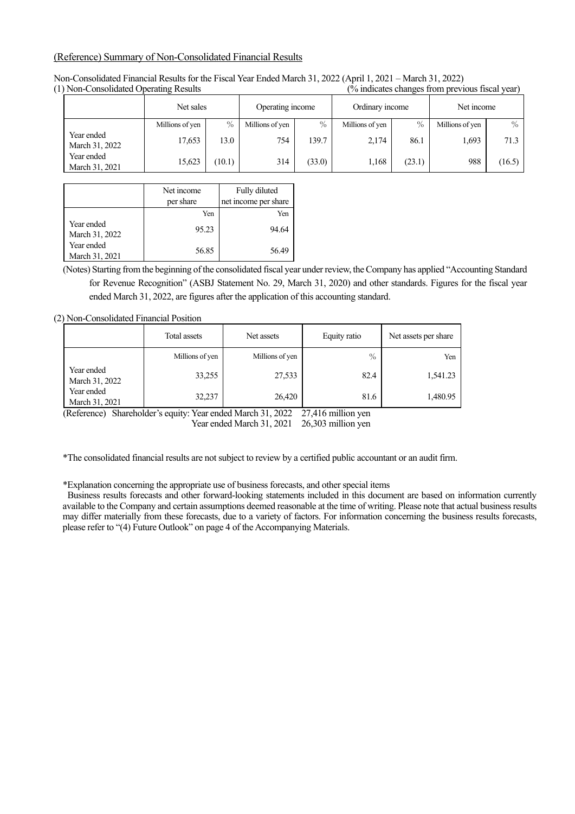### (Reference) Summary of Non-Consolidated Financial Results

| $\mu$ voll consolidated operating results |                 |        |                  | 70 marcates changes from previous notar year) |                 |        |                 |        |
|-------------------------------------------|-----------------|--------|------------------|-----------------------------------------------|-----------------|--------|-----------------|--------|
|                                           | Net sales       |        | Operating income |                                               | Ordinary income |        | Net income      |        |
|                                           | Millions of yen | $\%$   | Millions of yen  | $\frac{0}{0}$                                 | Millions of yen | $\%$   | Millions of yen | $\%$   |
| Year ended<br>March 31, 2022              | 17,653          | 13.0   | 754              | 139.7                                         | 2.174           | 86.1   | 1,693           | 71.3   |
| Year ended<br>March 31, 2021              | 15,623          | (10.1) | 314              | (33.0)                                        | 1,168           | (23.1) | 988             | (16.5) |

Non-Consolidated Financial Results for the Fiscal Year Ended March 31, 2022 (April 1, 2021 – March 31, 2022)  $(%$  indicates changes from previous fiscal year)

|                              | Net income<br>per share | Fully diluted<br>net income per share |
|------------------------------|-------------------------|---------------------------------------|
|                              | Yen                     | Yen                                   |
| Year ended<br>March 31, 2022 | 95.23                   | 94.64                                 |
| Year ended<br>March 31, 2021 | 56.85                   | 56.49                                 |

(Notes) Starting from the beginning of the consolidated fiscal year under review, the Company has applied "Accounting Standard for Revenue Recognition" (ASBJ Statement No. 29, March 31, 2020) and other standards. Figures for the fiscal year ended March 31, 2022, are figures after the application of this accounting standard.

(2) Non-Consolidated Financial Position

|                              | Total assets    | Net assets      | Equity ratio | Net assets per share |
|------------------------------|-----------------|-----------------|--------------|----------------------|
|                              | Millions of yen | Millions of yen | $\%$         | Yen                  |
| Year ended<br>March 31, 2022 | 33,255          | 27,533          | 82.4         | 1,541.23             |
| Year ended<br>March 31, 2021 | 32,237          | 26,420          | 81.6         | 1,480.95             |

(Reference) Shareholder's equity: Year ended March 31, 2022 27,416 million yen

Year ended March 31, 2021 26,303 million yen

\*The consolidated financial results are not subject to review by a certified public accountant or an audit firm.

\*Explanation concerning the appropriate use of business forecasts, and other special items

 Business results forecasts and other forward-looking statements included in this document are based on information currently available to the Company and certain assumptions deemed reasonable at the time of writing. Please note that actual business results may differ materially from these forecasts, due to a variety of factors. For information concerning the business results forecasts, please refer to "(4) Future Outlook" on page 4 of the Accompanying Materials.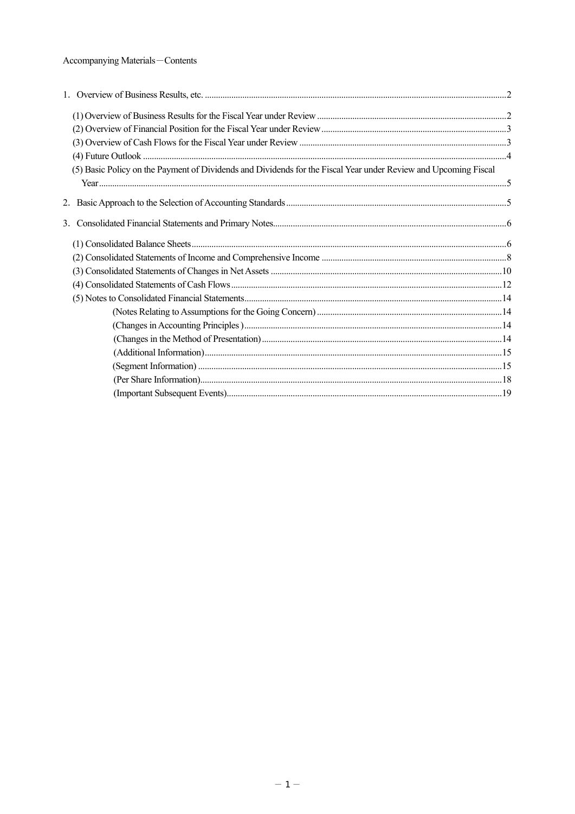### Accompanying Materials-Contents

| (5) Basic Policy on the Payment of Dividends and Dividends for the Fiscal Year under Review and Upcoming Fiscal |  |
|-----------------------------------------------------------------------------------------------------------------|--|
|                                                                                                                 |  |
|                                                                                                                 |  |
|                                                                                                                 |  |
|                                                                                                                 |  |
|                                                                                                                 |  |
|                                                                                                                 |  |
|                                                                                                                 |  |
|                                                                                                                 |  |
|                                                                                                                 |  |
|                                                                                                                 |  |
|                                                                                                                 |  |
|                                                                                                                 |  |
|                                                                                                                 |  |
|                                                                                                                 |  |
|                                                                                                                 |  |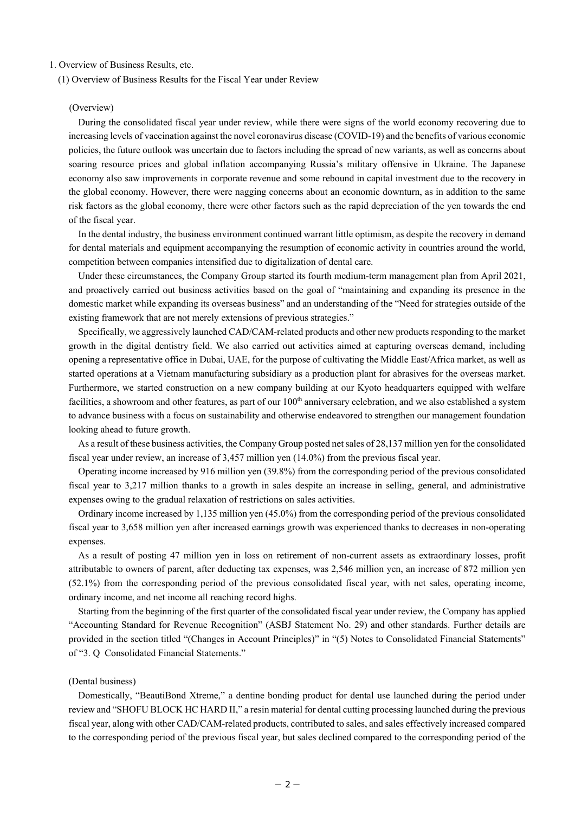### 1. Overview of Business Results, etc.

(1) Overview of Business Results for the Fiscal Year under Review

#### (Overview)

During the consolidated fiscal year under review, while there were signs of the world economy recovering due to increasing levels of vaccination against the novel coronavirus disease (COVID-19) and the benefits of various economic policies, the future outlook was uncertain due to factors including the spread of new variants, as well as concerns about soaring resource prices and global inflation accompanying Russia's military offensive in Ukraine. The Japanese economy also saw improvements in corporate revenue and some rebound in capital investment due to the recovery in the global economy. However, there were nagging concerns about an economic downturn, as in addition to the same risk factors as the global economy, there were other factors such as the rapid depreciation of the yen towards the end of the fiscal year.

In the dental industry, the business environment continued warrant little optimism, as despite the recovery in demand for dental materials and equipment accompanying the resumption of economic activity in countries around the world, competition between companies intensified due to digitalization of dental care.

Under these circumstances, the Company Group started its fourth medium-term management plan from April 2021, and proactively carried out business activities based on the goal of "maintaining and expanding its presence in the domestic market while expanding its overseas business" and an understanding of the "Need for strategies outside of the existing framework that are not merely extensions of previous strategies."

Specifically, we aggressively launched CAD/CAM-related products and other new products responding to the market growth in the digital dentistry field. We also carried out activities aimed at capturing overseas demand, including opening a representative office in Dubai, UAE, for the purpose of cultivating the Middle East/Africa market, as well as started operations at a Vietnam manufacturing subsidiary as a production plant for abrasives for the overseas market. Furthermore, we started construction on a new company building at our Kyoto headquarters equipped with welfare facilities, a showroom and other features, as part of our 100<sup>th</sup> anniversary celebration, and we also established a system to advance business with a focus on sustainability and otherwise endeavored to strengthen our management foundation looking ahead to future growth.

As a result of these business activities, the Company Group posted net sales of 28,137 million yen for the consolidated fiscal year under review, an increase of 3,457 million yen (14.0%) from the previous fiscal year.

Operating income increased by 916 million yen (39.8%) from the corresponding period of the previous consolidated fiscal year to 3,217 million thanks to a growth in sales despite an increase in selling, general, and administrative expenses owing to the gradual relaxation of restrictions on sales activities.

Ordinary income increased by 1,135 million yen (45.0%) from the corresponding period of the previous consolidated fiscal year to 3,658 million yen after increased earnings growth was experienced thanks to decreases in non-operating expenses.

As a result of posting 47 million yen in loss on retirement of non-current assets as extraordinary losses, profit attributable to owners of parent, after deducting tax expenses, was 2,546 million yen, an increase of 872 million yen (52.1%) from the corresponding period of the previous consolidated fiscal year, with net sales, operating income, ordinary income, and net income all reaching record highs.

Starting from the beginning of the first quarter of the consolidated fiscal year under review, the Company has applied "Accounting Standard for Revenue Recognition" (ASBJ Statement No. 29) and other standards. Further details are provided in the section titled "(Changes in Account Principles)" in "(5) Notes to Consolidated Financial Statements" of "3. Q Consolidated Financial Statements."

### (Dental business)

Domestically, "BeautiBond Xtreme," a dentine bonding product for dental use launched during the period under review and "SHOFU BLOCK HC HARD II," a resin material for dental cutting processing launched during the previous fiscal year, along with other CAD/CAM-related products, contributed to sales, and sales effectively increased compared to the corresponding period of the previous fiscal year, but sales declined compared to the corresponding period of the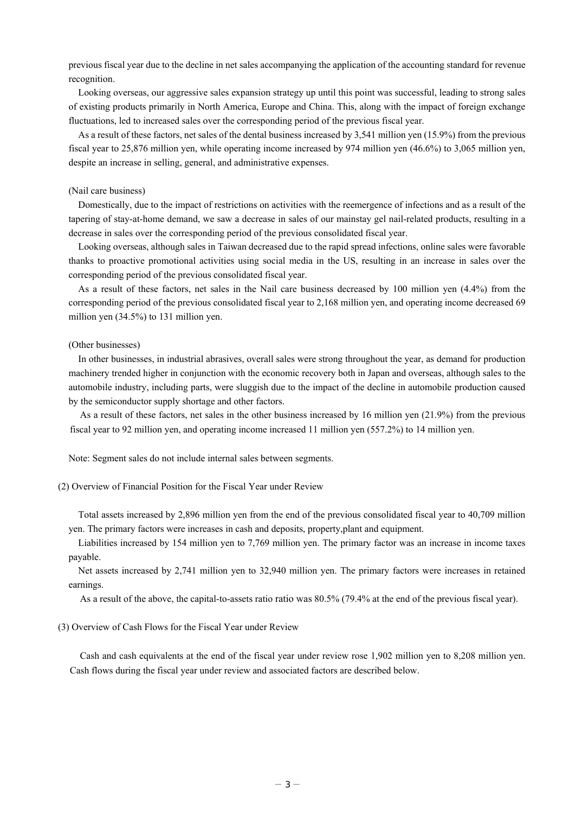previous fiscal year due to the decline in net sales accompanying the application of the accounting standard for revenue recognition.

Looking overseas, our aggressive sales expansion strategy up until this point was successful, leading to strong sales of existing products primarily in North America, Europe and China. This, along with the impact of foreign exchange fluctuations, led to increased sales over the corresponding period of the previous fiscal year.

As a result of these factors, net sales of the dental business increased by 3,541 million yen (15.9%) from the previous fiscal year to 25,876 million yen, while operating income increased by 974 million yen (46.6%) to 3,065 million yen, despite an increase in selling, general, and administrative expenses.

### (Nail care business)

Domestically, due to the impact of restrictions on activities with the reemergence of infections and as a result of the tapering of stay-at-home demand, we saw a decrease in sales of our mainstay gel nail-related products, resulting in a decrease in sales over the corresponding period of the previous consolidated fiscal year.

Looking overseas, although sales in Taiwan decreased due to the rapid spread infections, online sales were favorable thanks to proactive promotional activities using social media in the US, resulting in an increase in sales over the corresponding period of the previous consolidated fiscal year.

As a result of these factors, net sales in the Nail care business decreased by 100 million yen (4.4%) from the corresponding period of the previous consolidated fiscal year to 2,168 million yen, and operating income decreased 69 million yen (34.5%) to 131 million yen.

### (Other businesses)

In other businesses, in industrial abrasives, overall sales were strong throughout the year, as demand for production machinery trended higher in conjunction with the economic recovery both in Japan and overseas, although sales to the automobile industry, including parts, were sluggish due to the impact of the decline in automobile production caused by the semiconductor supply shortage and other factors.

As a result of these factors, net sales in the other business increased by 16 million yen (21.9%) from the previous fiscal year to 92 million yen, and operating income increased 11 million yen (557.2%) to 14 million yen.

Note: Segment sales do not include internal sales between segments.

(2) Overview of Financial Position for the Fiscal Year under Review

Total assets increased by 2,896 million yen from the end of the previous consolidated fiscal year to 40,709 million yen. The primary factors were increases in cash and deposits, property,plant and equipment.

Liabilities increased by 154 million yen to 7,769 million yen. The primary factor was an increase in income taxes payable.

Net assets increased by 2,741 million yen to 32,940 million yen. The primary factors were increases in retained earnings.

As a result of the above, the capital-to-assets ratio ratio was 80.5% (79.4% at the end of the previous fiscal year).

### (3) Overview of Cash Flows for the Fiscal Year under Review

Cash and cash equivalents at the end of the fiscal year under review rose 1,902 million yen to 8,208 million yen. Cash flows during the fiscal year under review and associated factors are described below.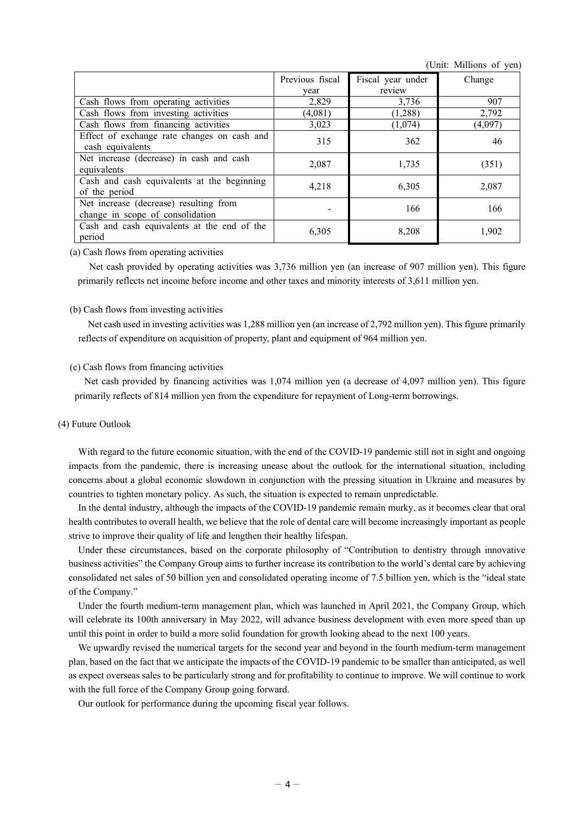(Unit: Millions of yen)

|                                                                            | Previous fiscal | Fiscal year under | Change  |
|----------------------------------------------------------------------------|-----------------|-------------------|---------|
|                                                                            | year            | review            |         |
| Cash flows from operating activities                                       | 2,829           | 3,736             | 907     |
| Cash flows from investing activities                                       | (4,081)         | (1,288)           | 2,792   |
| Cash flows from financing activities                                       | 3,023           | (1,074)           | (4,097) |
| Effect of exchange rate changes on cash and<br>cash equivalents            | 315             | 362               | 46      |
| Net increase (decrease) in cash and cash<br>equivalents                    | 2,087           | 1,735             | (351)   |
| Cash and cash equivalents at the beginning<br>of the period                | 4,218           | 6,305             | 2,087   |
| Net increase (decrease) resulting from<br>change in scope of consolidation |                 | 166               | 166     |
| Cash and cash equivalents at the end of the<br>period                      | 6,305           | 8,208             | 1,902   |

(a) Cash flows from operating activities

Net cash provided by operating activities was 3,736 million yen (an increase of 907 million yen). This figure primarily reflects net income before income and other taxes and minority interests of 3,611 million yen.

### (b) Cash flows from investing activities

Net cash used in investing activities was 1,288 million yen (an increase of 2,792 million yen). This figure primarily reflects of expenditure on acquisition of property, plant and equipment of 964 million yen.

### (c) Cash flows from financing activities

Net cash provided by financing activities was 1,074 million yen (a decrease of 4,097 million yen). This figure primarily reflects of 814 million yen from the expenditure for repayment of Long-term borrowings.

### (4) Future Outlook

With regard to the future economic situation, with the end of the COVID-19 pandemic still not in sight and ongoing impacts from the pandemic, there is increasing unease about the outlook for the international situation, including concerns about a global economic slowdown in conjunction with the pressing situation in Ukraine and measures by countries to tighten monetary policy. As such, the situation is expected to remain unpredictable.

In the dental industry, although the impacts of the COVID-19 pandemic remain murky, as it becomes clear that oral health contributes to overall health, we believe that the role of dental care will become increasingly important as people strive to improve their quality of life and lengthen their healthy lifespan.

Under these circumstances, based on the corporate philosophy of "Contribution to dentistry through innovative business activities" the Company Group aims to further increase its contribution to the world's dental care by achieving consolidated net sales of 50 billion yen and consolidated operating income of 7.5 billion yen, which is the "ideal state of the Company."

Under the fourth medium-term management plan, which was launched in April 2021, the Company Group, which will celebrate its 100th anniversary in May 2022, will advance business development with even more speed than up until this point in order to build a more solid foundation for growth looking ahead to the next 100 years.

We upwardly revised the numerical targets for the second year and beyond in the fourth medium-term management plan, based on the fact that we anticipate the impacts of the COVID-19 pandemic to be smaller than anticipated, as well as expect overseas sales to be particularly strong and for profitability to continue to improve. We will continue to work with the full force of the Company Group going forward.

Our outlook for performance during the upcoming fiscal year follows.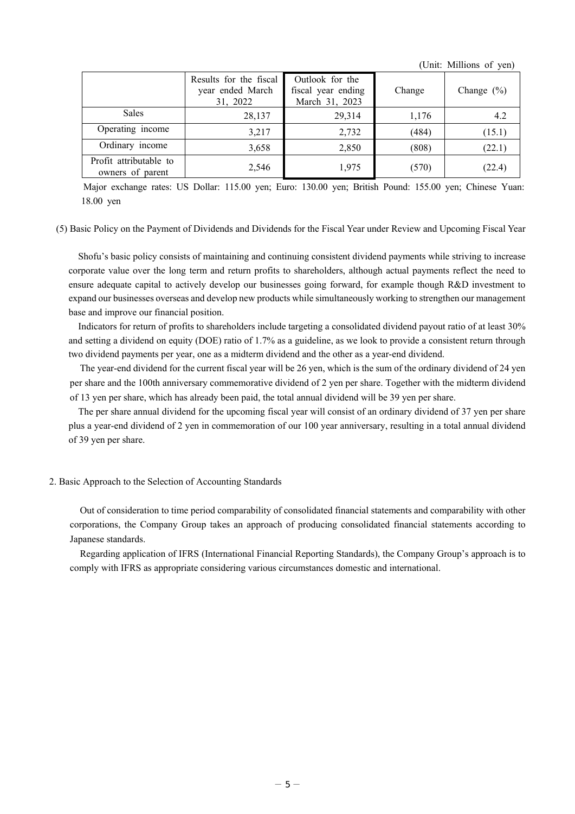(Unit: Millions of yen)

|                                            | Results for the fiscal<br>year ended March<br>31, 2022 | Outlook for the<br>fiscal year ending<br>March 31, 2023 | Change | Change $(\% )$ |
|--------------------------------------------|--------------------------------------------------------|---------------------------------------------------------|--------|----------------|
| <b>Sales</b>                               | 28,137                                                 | 29.314                                                  | 1,176  | 4.2            |
| Operating income                           | 3,217                                                  | 2,732                                                   | (484)  | (15.1)         |
| Ordinary income                            | 3,658                                                  | 2,850                                                   | (808)  | (22.1)         |
| Profit attributable to<br>owners of parent | 2,546                                                  | 1,975                                                   | (570)  | (22.4)         |

Major exchange rates: US Dollar: 115.00 yen; Euro: 130.00 yen; British Pound: 155.00 yen; Chinese Yuan: 18.00 yen

(5) Basic Policy on the Payment of Dividends and Dividends for the Fiscal Year under Review and Upcoming Fiscal Year

Shofu's basic policy consists of maintaining and continuing consistent dividend payments while striving to increase corporate value over the long term and return profits to shareholders, although actual payments reflect the need to ensure adequate capital to actively develop our businesses going forward, for example though R&D investment to expand our businesses overseas and develop new products while simultaneously working to strengthen our management base and improve our financial position.

Indicators for return of profits to shareholders include targeting a consolidated dividend payout ratio of at least 30% and setting a dividend on equity (DOE) ratio of 1.7% as a guideline, as we look to provide a consistent return through two dividend payments per year, one as a midterm dividend and the other as a year-end dividend.

The year-end dividend for the current fiscal year will be 26 yen, which is the sum of the ordinary dividend of 24 yen per share and the 100th anniversary commemorative dividend of 2 yen per share. Together with the midterm dividend of 13 yen per share, which has already been paid, the total annual dividend will be 39 yen per share.

The per share annual dividend for the upcoming fiscal year will consist of an ordinary dividend of 37 yen per share plus a year-end dividend of 2 yen in commemoration of our 100 year anniversary, resulting in a total annual dividend of 39 yen per share.

### 2. Basic Approach to the Selection of Accounting Standards

Out of consideration to time period comparability of consolidated financial statements and comparability with other corporations, the Company Group takes an approach of producing consolidated financial statements according to Japanese standards.

Regarding application of IFRS (International Financial Reporting Standards), the Company Group's approach is to comply with IFRS as appropriate considering various circumstances domestic and international.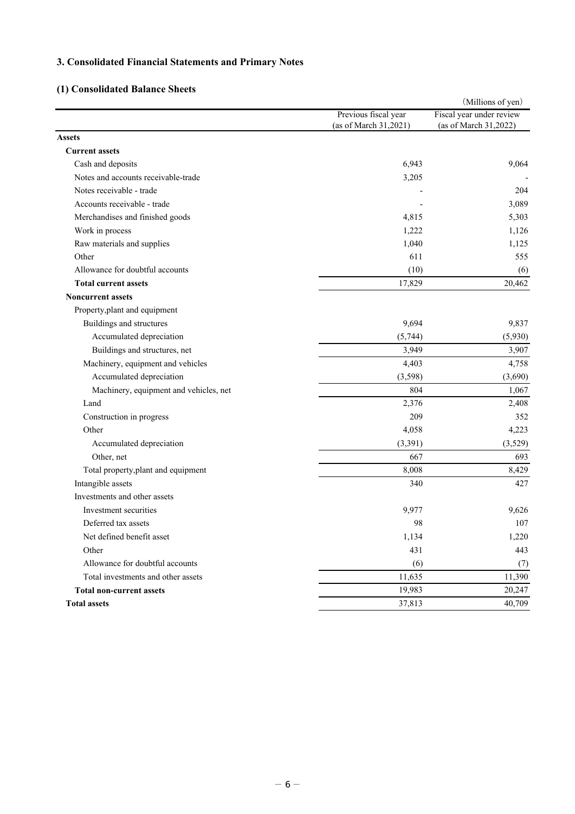# **3. Consolidated Financial Statements and Primary Notes**

# **(1) Consolidated Balance Sheets**

|                                        |                       | (Millions of yen)        |
|----------------------------------------|-----------------------|--------------------------|
|                                        | Previous fiscal year  | Fiscal year under review |
|                                        | (as of March 31,2021) | (as of March 31,2022)    |
| <b>Assets</b>                          |                       |                          |
| <b>Current assets</b>                  |                       |                          |
| Cash and deposits                      | 6,943                 | 9,064                    |
| Notes and accounts receivable-trade    | 3,205                 |                          |
| Notes receivable - trade               |                       | 204                      |
| Accounts receivable - trade            |                       | 3,089                    |
| Merchandises and finished goods        | 4,815                 | 5,303                    |
| Work in process                        | 1,222                 | 1,126                    |
| Raw materials and supplies             | 1,040                 | 1,125                    |
| Other                                  | 611                   | 555                      |
| Allowance for doubtful accounts        | (10)                  | (6)                      |
| <b>Total current assets</b>            | 17,829                | 20,462                   |
| <b>Noncurrent assets</b>               |                       |                          |
| Property, plant and equipment          |                       |                          |
| Buildings and structures               | 9,694                 | 9,837                    |
| Accumulated depreciation               | (5,744)               | (5,930)                  |
| Buildings and structures, net          | 3,949                 | 3,907                    |
| Machinery, equipment and vehicles      | 4,403                 | 4,758                    |
| Accumulated depreciation               | (3,598)               | (3,690)                  |
| Machinery, equipment and vehicles, net | 804                   | 1,067                    |
| Land                                   | 2,376                 | 2,408                    |
| Construction in progress               | 209                   | 352                      |
| Other                                  | 4,058                 | 4,223                    |
| Accumulated depreciation               | (3,391)               | (3,529)                  |
| Other, net                             | 667                   | 693                      |
| Total property, plant and equipment    | 8,008                 | 8,429                    |
| Intangible assets                      | 340                   | 427                      |
| Investments and other assets           |                       |                          |
| Investment securities                  | 9,977                 | 9,626                    |
| Deferred tax assets                    | 98                    | 107                      |
| Net defined benefit asset              | 1,134                 | 1,220                    |
| Other                                  | 431                   | 443                      |
| Allowance for doubtful accounts        | (6)                   | (7)                      |
| Total investments and other assets     | 11,635                | 11,390                   |
| <b>Total non-current assets</b>        | 19,983                | 20,247                   |
| <b>Total assets</b>                    | 37,813                | 40,709                   |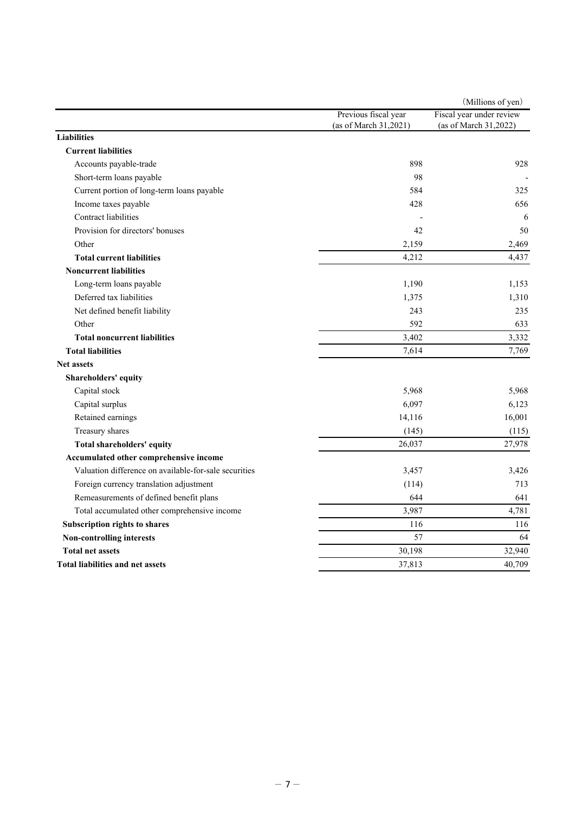|                                                       |                       | (Millions of yen)        |
|-------------------------------------------------------|-----------------------|--------------------------|
|                                                       | Previous fiscal year  | Fiscal year under review |
|                                                       | (as of March 31,2021) | (as of March 31,2022)    |
| <b>Liabilities</b>                                    |                       |                          |
| <b>Current liabilities</b>                            |                       |                          |
| Accounts payable-trade                                | 898                   | 928                      |
| Short-term loans payable                              | 98                    |                          |
| Current portion of long-term loans payable            | 584                   | 325                      |
| Income taxes payable                                  | 428                   | 656                      |
| Contract liabilities                                  |                       | 6                        |
| Provision for directors' bonuses                      | 42                    | 50                       |
| Other                                                 | 2,159                 | 2,469                    |
| <b>Total current liabilities</b>                      | 4,212                 | 4,437                    |
| <b>Noncurrent liabilities</b>                         |                       |                          |
| Long-term loans payable                               | 1,190                 | 1,153                    |
| Deferred tax liabilities                              | 1,375                 | 1,310                    |
| Net defined benefit liability                         | 243                   | 235                      |
| Other                                                 | 592                   | 633                      |
| <b>Total noncurrent liabilities</b>                   | 3,402                 | 3,332                    |
| <b>Total liabilities</b>                              | 7,614                 | 7,769                    |
| <b>Net assets</b>                                     |                       |                          |
| Shareholders' equity                                  |                       |                          |
| Capital stock                                         | 5,968                 | 5,968                    |
| Capital surplus                                       | 6,097                 | 6,123                    |
| Retained earnings                                     | 14,116                | 16,001                   |
| Treasury shares                                       | (145)                 | (115)                    |
| Total shareholders' equity                            | 26,037                | 27,978                   |
| Accumulated other comprehensive income                |                       |                          |
| Valuation difference on available-for-sale securities | 3,457                 | 3,426                    |
| Foreign currency translation adjustment               | (114)                 | 713                      |
| Remeasurements of defined benefit plans               | 644                   | 641                      |
| Total accumulated other comprehensive income          | 3,987                 | 4,781                    |
| <b>Subscription rights to shares</b>                  | 116                   | 116                      |
| <b>Non-controlling interests</b>                      | 57                    | 64                       |
| <b>Total net assets</b>                               | 30,198                | 32,940                   |
| <b>Total liabilities and net assets</b>               | 37,813                | 40,709                   |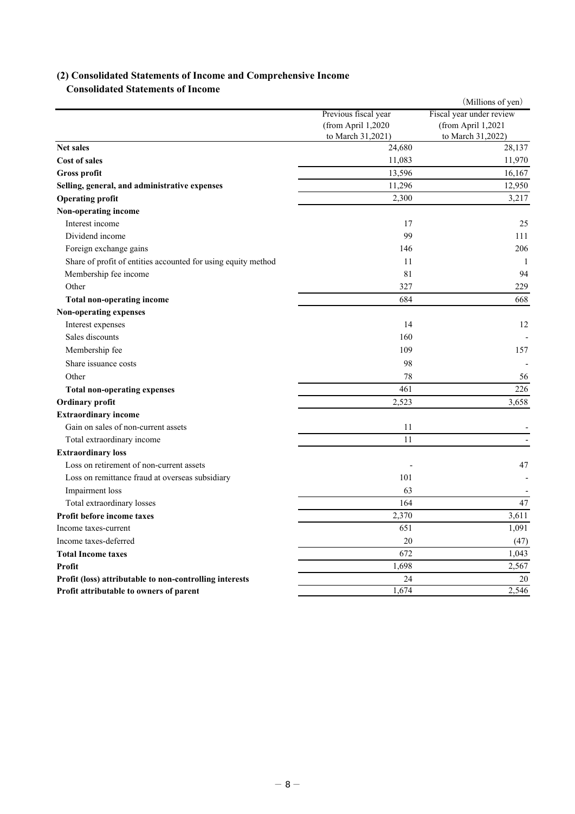## **(2) Consolidated Statements of Income and Comprehensive Income Consolidated Statements of Income**

|                                                               |                      | (Millions of yen)        |
|---------------------------------------------------------------|----------------------|--------------------------|
|                                                               | Previous fiscal year | Fiscal year under review |
|                                                               | (from April 1,2020   | (from April 1,2021       |
|                                                               | to March 31,2021)    | to March 31,2022)        |
| <b>Net sales</b>                                              | 24,680               | 28,137                   |
| <b>Cost of sales</b>                                          | 11,083               | 11,970                   |
| Gross profit                                                  | 13,596               | 16,167                   |
| Selling, general, and administrative expenses                 | 11,296               | 12,950                   |
| <b>Operating profit</b>                                       | 2,300                | 3,217                    |
| Non-operating income                                          |                      |                          |
| Interest income                                               | 17                   | 25                       |
| Dividend income                                               | 99                   | 111                      |
| Foreign exchange gains                                        | 146                  | 206                      |
| Share of profit of entities accounted for using equity method | 11                   | 1                        |
| Membership fee income                                         | 81                   | 94                       |
| Other                                                         | 327                  | 229                      |
| <b>Total non-operating income</b>                             | 684                  | 668                      |
| Non-operating expenses                                        |                      |                          |
| Interest expenses                                             | 14                   | 12                       |
| Sales discounts                                               | 160                  |                          |
| Membership fee                                                | 109                  | 157                      |
| Share issuance costs                                          | 98                   |                          |
| Other                                                         | 78                   | 56                       |
| <b>Total non-operating expenses</b>                           | 461                  | 226                      |
| Ordinary profit                                               | 2,523                | 3,658                    |
| <b>Extraordinary income</b>                                   |                      |                          |
| Gain on sales of non-current assets                           | 11                   |                          |
| Total extraordinary income                                    | 11                   |                          |
| <b>Extraordinary loss</b>                                     |                      |                          |
| Loss on retirement of non-current assets                      |                      | 47                       |
| Loss on remittance fraud at overseas subsidiary               | 101                  |                          |
| Impairment loss                                               | 63                   |                          |
| Total extraordinary losses                                    | 164                  | 47                       |
| Profit before income taxes                                    | 2,370                | 3,611                    |
| Income taxes-current                                          | 651                  | 1,091                    |
| Income taxes-deferred                                         | 20                   | (47)                     |
| <b>Total Income taxes</b>                                     | 672                  | 1,043                    |
| Profit                                                        | 1,698                | 2,567                    |
| Profit (loss) attributable to non-controlling interests       | 24                   | 20                       |
| Profit attributable to owners of parent                       | 1,674                | 2,546                    |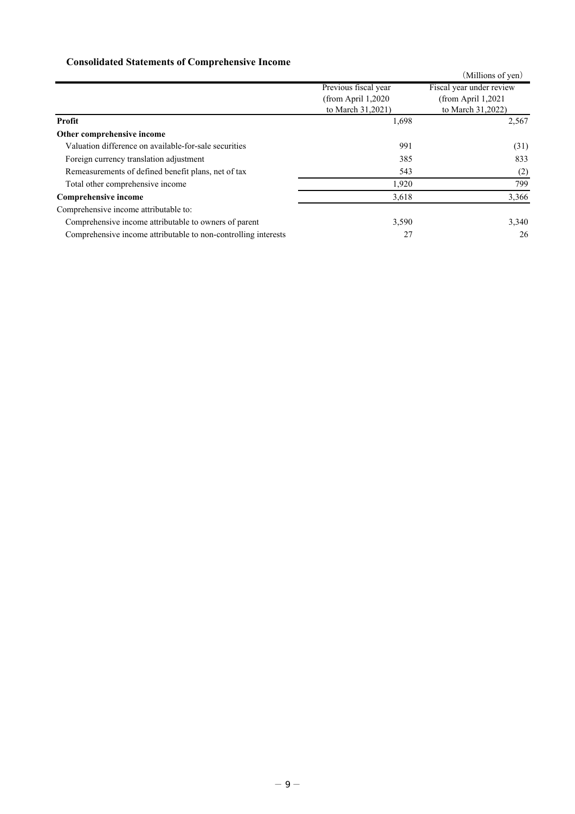# **Consolidated Statements of Comprehensive Income**

|                                                                |                      | (Millions of yen)        |
|----------------------------------------------------------------|----------------------|--------------------------|
|                                                                | Previous fiscal year | Fiscal year under review |
|                                                                | (from April $1,2020$ | (from April $1,2021$     |
|                                                                | to March 31,2021)    | to March 31,2022)        |
| Profit                                                         | 1,698                | 2,567                    |
| Other comprehensive income                                     |                      |                          |
| Valuation difference on available-for-sale securities          | 991                  | (31)                     |
| Foreign currency translation adjustment                        | 385                  | 833                      |
| Remeasurements of defined benefit plans, net of tax            | 543                  | (2)                      |
| Total other comprehensive income                               | 1,920                | 799                      |
| <b>Comprehensive income</b>                                    | 3,618                | 3,366                    |
| Comprehensive income attributable to:                          |                      |                          |
| Comprehensive income attributable to owners of parent          | 3,590                | 3,340                    |
| Comprehensive income attributable to non-controlling interests | 27                   | 26                       |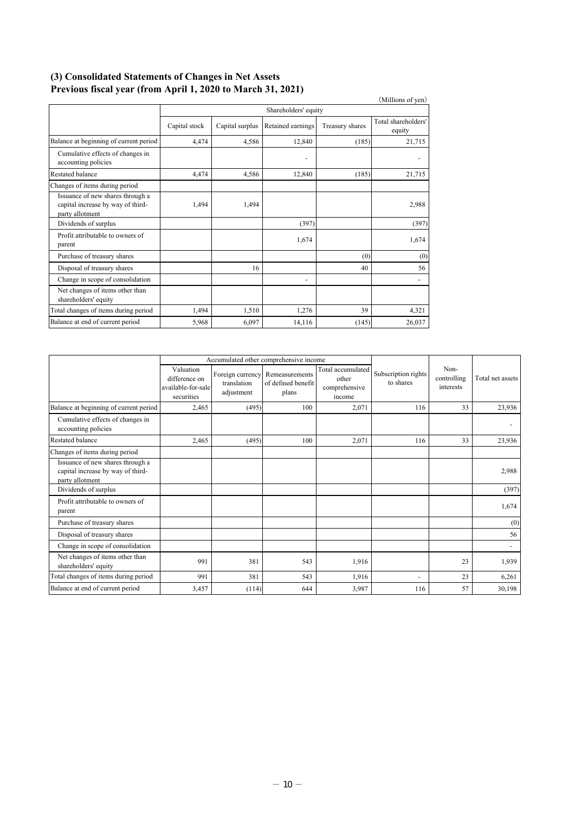### **(3) Consolidated Statements of Changes in Net Assets Previous fiscal year (from April 1, 2020 to March 31, 2021)**

|                                                                                          |               |                      |                          |                 | (Millions of yen)             |  |
|------------------------------------------------------------------------------------------|---------------|----------------------|--------------------------|-----------------|-------------------------------|--|
|                                                                                          |               | Shareholders' equity |                          |                 |                               |  |
|                                                                                          | Capital stock | Capital surplus      | Retained earnings        | Treasury shares | Total shareholders'<br>equity |  |
| Balance at beginning of current period                                                   | 4,474         | 4,586                | 12,840                   | (185)           | 21,715                        |  |
| Cumulative effects of changes in<br>accounting policies                                  |               |                      | ٠                        |                 |                               |  |
| Restated balance                                                                         | 4,474         | 4,586                | 12,840                   | (185)           | 21,715                        |  |
| Changes of items during period                                                           |               |                      |                          |                 |                               |  |
| Issuance of new shares through a<br>capital increase by way of third-<br>party allotment | 1,494         | 1,494                |                          |                 | 2,988                         |  |
| Dividends of surplus                                                                     |               |                      | (397)                    |                 | (397)                         |  |
| Profit attributable to owners of<br>parent                                               |               |                      | 1.674                    |                 | 1.674                         |  |
| Purchase of treasury shares                                                              |               |                      |                          | (0)             | (0)                           |  |
| Disposal of treasury shares                                                              |               | 16                   |                          | 40              | 56                            |  |
| Change in scope of consolidation                                                         |               |                      | $\overline{\phantom{a}}$ |                 |                               |  |
| Net changes of items other than<br>shareholders' equity                                  |               |                      |                          |                 |                               |  |
| Total changes of items during period                                                     | 1.494         | 1,510                | 1,276                    | 39              | 4,321                         |  |
| Balance at end of current period                                                         | 5,968         | 6,097                | 14,116                   | (145)           | 26,037                        |  |

|                                                                                          | Accumulated other comprehensive income                         |                           |                                                                |                                                       |                                  |                                  |                  |
|------------------------------------------------------------------------------------------|----------------------------------------------------------------|---------------------------|----------------------------------------------------------------|-------------------------------------------------------|----------------------------------|----------------------------------|------------------|
|                                                                                          | Valuation<br>difference on<br>available-for-sale<br>securities | translation<br>adjustment | Foreign currency Remeasurements<br>of defined benefit<br>plans | Total accumulated<br>other<br>comprehensive<br>income | Subscription rights<br>to shares | Non-<br>controlling<br>interests | Total net assets |
| Balance at beginning of current period                                                   | 2.465                                                          | (495)                     | 100                                                            | 2,071                                                 | 116                              | 33                               | 23,936           |
| Cumulative effects of changes in<br>accounting policies                                  |                                                                |                           |                                                                |                                                       |                                  |                                  |                  |
| Restated balance                                                                         | 2,465                                                          | (495)                     | 100                                                            | 2.071                                                 | 116                              | 33                               | 23,936           |
| Changes of items during period                                                           |                                                                |                           |                                                                |                                                       |                                  |                                  |                  |
| Issuance of new shares through a<br>capital increase by way of third-<br>party allotment |                                                                |                           |                                                                |                                                       |                                  |                                  | 2,988            |
| Dividends of surplus                                                                     |                                                                |                           |                                                                |                                                       |                                  |                                  | (397)            |
| Profit attributable to owners of<br>parent                                               |                                                                |                           |                                                                |                                                       |                                  |                                  | 1,674            |
| Purchase of treasury shares                                                              |                                                                |                           |                                                                |                                                       |                                  |                                  | (0)              |
| Disposal of treasury shares                                                              |                                                                |                           |                                                                |                                                       |                                  |                                  | 56               |
| Change in scope of consolidation                                                         |                                                                |                           |                                                                |                                                       |                                  |                                  | $\blacksquare$   |
| Net changes of items other than<br>shareholders' equity                                  | 991                                                            | 381                       | 543                                                            | 1,916                                                 |                                  | 23                               | 1,939            |
| Total changes of items during period                                                     | 991                                                            | 381                       | 543                                                            | 1,916                                                 | ٠                                | 23                               | 6,261            |
| Balance at end of current period                                                         | 3,457                                                          | (114)                     | 644                                                            | 3,987                                                 | 116                              | 57                               | 30,198           |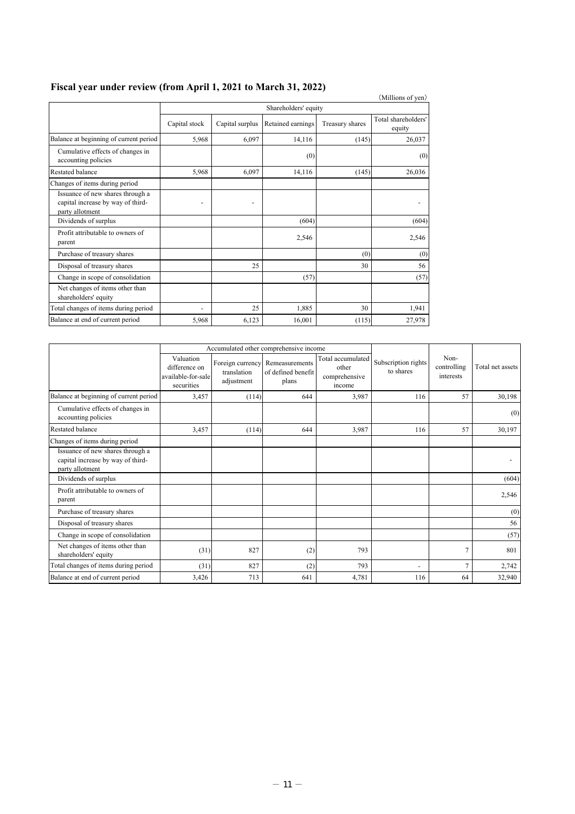|                                                                                          |               |                      |                   |                 | (Millions of yen)             |  |  |
|------------------------------------------------------------------------------------------|---------------|----------------------|-------------------|-----------------|-------------------------------|--|--|
|                                                                                          |               | Shareholders' equity |                   |                 |                               |  |  |
|                                                                                          | Capital stock | Capital surplus      | Retained earnings | Treasury shares | Total shareholders'<br>equity |  |  |
| Balance at beginning of current period                                                   | 5,968         | 6,097                | 14,116            | (145)           | 26,037                        |  |  |
| Cumulative effects of changes in<br>accounting policies                                  |               |                      | (0)               |                 | (0)                           |  |  |
| Restated balance                                                                         | 5,968         | 6,097                | 14,116            | (145)           | 26,036                        |  |  |
| Changes of items during period                                                           |               |                      |                   |                 |                               |  |  |
| Issuance of new shares through a<br>capital increase by way of third-<br>party allotment |               |                      |                   |                 |                               |  |  |
| Dividends of surplus                                                                     |               |                      | (604)             |                 | (604)                         |  |  |
| Profit attributable to owners of<br>parent                                               |               |                      | 2,546             |                 | 2,546                         |  |  |
| Purchase of treasury shares                                                              |               |                      |                   | (0)             | (0)                           |  |  |
| Disposal of treasury shares                                                              |               | 25                   |                   | 30              | 56                            |  |  |
| Change in scope of consolidation                                                         |               |                      | (57)              |                 | (57)                          |  |  |
| Net changes of items other than<br>shareholders' equity                                  |               |                      |                   |                 |                               |  |  |
| Total changes of items during period                                                     |               | 25                   | 1,885             | 30              | 1,941                         |  |  |
| Balance at end of current period                                                         | 5,968         | 6,123                | 16,001            | (115)           | 27,978                        |  |  |

# **Fiscal year under review (from April 1, 2021 to March 31, 2022)**

|                                                                                          |                                                                | Accumulated other comprehensive income |                                                                |                                                       |                                  |                                  |                  |
|------------------------------------------------------------------------------------------|----------------------------------------------------------------|----------------------------------------|----------------------------------------------------------------|-------------------------------------------------------|----------------------------------|----------------------------------|------------------|
|                                                                                          | Valuation<br>difference on<br>available-for-sale<br>securities | translation<br>adjustment              | Foreign currency Remeasurements<br>of defined benefit<br>plans | Total accumulated<br>other<br>comprehensive<br>income | Subscription rights<br>to shares | Non-<br>controlling<br>interests | Total net assets |
| Balance at beginning of current period                                                   | 3,457                                                          | (114)                                  | 644                                                            | 3,987                                                 | 116                              | 57                               | 30,198           |
| Cumulative effects of changes in<br>accounting policies                                  |                                                                |                                        |                                                                |                                                       |                                  |                                  | (0)              |
| <b>Restated balance</b>                                                                  | 3,457                                                          | (114)                                  | 644                                                            | 3,987                                                 | 116                              | 57                               | 30,197           |
| Changes of items during period                                                           |                                                                |                                        |                                                                |                                                       |                                  |                                  |                  |
| Issuance of new shares through a<br>capital increase by way of third-<br>party allotment |                                                                |                                        |                                                                |                                                       |                                  |                                  |                  |
| Dividends of surplus                                                                     |                                                                |                                        |                                                                |                                                       |                                  |                                  | (604)            |
| Profit attributable to owners of<br>parent                                               |                                                                |                                        |                                                                |                                                       |                                  |                                  | 2,546            |
| Purchase of treasury shares                                                              |                                                                |                                        |                                                                |                                                       |                                  |                                  | (0)              |
| Disposal of treasury shares                                                              |                                                                |                                        |                                                                |                                                       |                                  |                                  | 56               |
| Change in scope of consolidation                                                         |                                                                |                                        |                                                                |                                                       |                                  |                                  | (57)             |
| Net changes of items other than<br>shareholders' equity                                  | (31)                                                           | 827                                    | (2)                                                            | 793                                                   |                                  | 7                                | 801              |
| Total changes of items during period                                                     | (31)                                                           | 827                                    | (2)                                                            | 793                                                   | ٠                                | 7                                | 2,742            |
| Balance at end of current period                                                         | 3,426                                                          | 713                                    | 641                                                            | 4,781                                                 | 116                              | 64                               | 32,940           |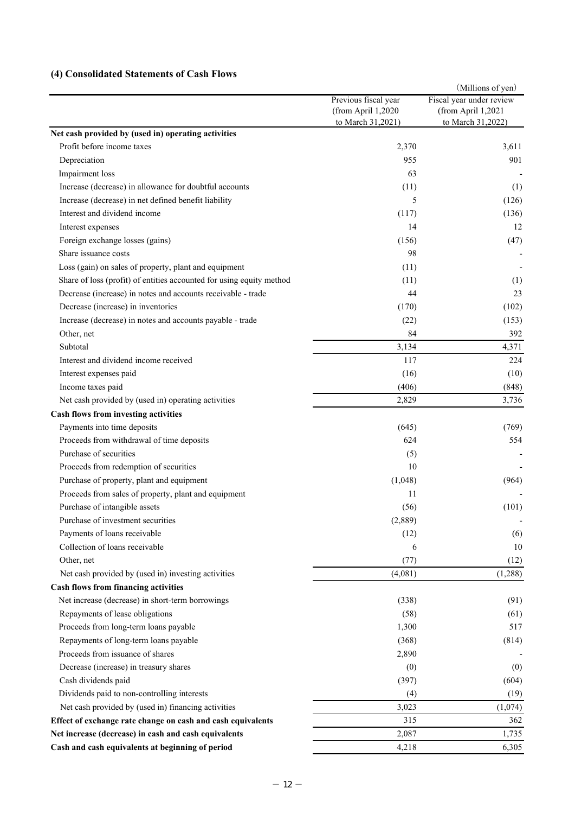## **(4) Consolidated Statements of Cash Flows**

|                                                                      |                                                                 | (Millions of yen)                                                   |
|----------------------------------------------------------------------|-----------------------------------------------------------------|---------------------------------------------------------------------|
|                                                                      | Previous fiscal year<br>(from April 1,2020<br>to March 31,2021) | Fiscal year under review<br>(from April 1,2021<br>to March 31,2022) |
| Net cash provided by (used in) operating activities                  |                                                                 |                                                                     |
| Profit before income taxes                                           | 2,370                                                           | 3,611                                                               |
| Depreciation                                                         | 955                                                             | 901                                                                 |
| Impairment loss                                                      | 63                                                              |                                                                     |
| Increase (decrease) in allowance for doubtful accounts               | (11)                                                            | (1)                                                                 |
| Increase (decrease) in net defined benefit liability                 | 5                                                               | (126)                                                               |
| Interest and dividend income                                         | (117)                                                           | (136)                                                               |
| Interest expenses                                                    | 14                                                              | 12                                                                  |
| Foreign exchange losses (gains)                                      | (156)                                                           | (47)                                                                |
| Share issuance costs                                                 | 98                                                              |                                                                     |
| Loss (gain) on sales of property, plant and equipment                | (11)                                                            |                                                                     |
| Share of loss (profit) of entities accounted for using equity method | (11)                                                            | (1)                                                                 |
| Decrease (increase) in notes and accounts receivable - trade         | 44                                                              | 23                                                                  |
| Decrease (increase) in inventories                                   | (170)                                                           | (102)                                                               |
| Increase (decrease) in notes and accounts payable - trade            | (22)                                                            | (153)                                                               |
| Other, net                                                           | 84                                                              | 392                                                                 |
| Subtotal                                                             | 3,134                                                           | 4,371                                                               |
| Interest and dividend income received                                | 117                                                             | 224                                                                 |
| Interest expenses paid                                               | (16)                                                            | (10)                                                                |
| Income taxes paid                                                    | (406)                                                           | (848)                                                               |
| Net cash provided by (used in) operating activities                  | 2,829                                                           | 3,736                                                               |
| Cash flows from investing activities                                 |                                                                 |                                                                     |
| Payments into time deposits                                          | (645)                                                           | (769)                                                               |
| Proceeds from withdrawal of time deposits                            | 624                                                             | 554                                                                 |
| Purchase of securities                                               | (5)                                                             |                                                                     |
| Proceeds from redemption of securities                               | 10                                                              |                                                                     |
| Purchase of property, plant and equipment                            | (1,048)                                                         | (964)                                                               |
| Proceeds from sales of property, plant and equipment                 | 11                                                              |                                                                     |
| Purchase of intangible assets                                        | (56)                                                            | (101)                                                               |
| Purchase of investment securities                                    | (2,889)                                                         |                                                                     |
| Payments of loans receivable                                         | (12)                                                            | (6)                                                                 |
| Collection of loans receivable                                       | 6                                                               | 10                                                                  |
| Other, net                                                           | (77)                                                            | (12)                                                                |
| Net cash provided by (used in) investing activities                  | (4,081)                                                         | (1,288)                                                             |
| Cash flows from financing activities                                 |                                                                 |                                                                     |
| Net increase (decrease) in short-term borrowings                     | (338)                                                           | (91)                                                                |
| Repayments of lease obligations                                      | (58)                                                            | (61)                                                                |
| Proceeds from long-term loans payable                                | 1,300                                                           | 517                                                                 |
| Repayments of long-term loans payable                                | (368)                                                           | (814)                                                               |
| Proceeds from issuance of shares                                     | 2,890                                                           |                                                                     |
| Decrease (increase) in treasury shares                               | (0)                                                             | (0)                                                                 |
| Cash dividends paid                                                  | (397)                                                           | (604)                                                               |
| Dividends paid to non-controlling interests                          | (4)                                                             | (19)                                                                |
| Net cash provided by (used in) financing activities                  | 3,023                                                           | (1,074)                                                             |
| Effect of exchange rate change on cash and cash equivalents          | 315                                                             | 362                                                                 |
| Net increase (decrease) in cash and cash equivalents                 | 2,087                                                           | 1,735                                                               |
| Cash and cash equivalents at beginning of period                     | 4,218                                                           | 6,305                                                               |
|                                                                      |                                                                 |                                                                     |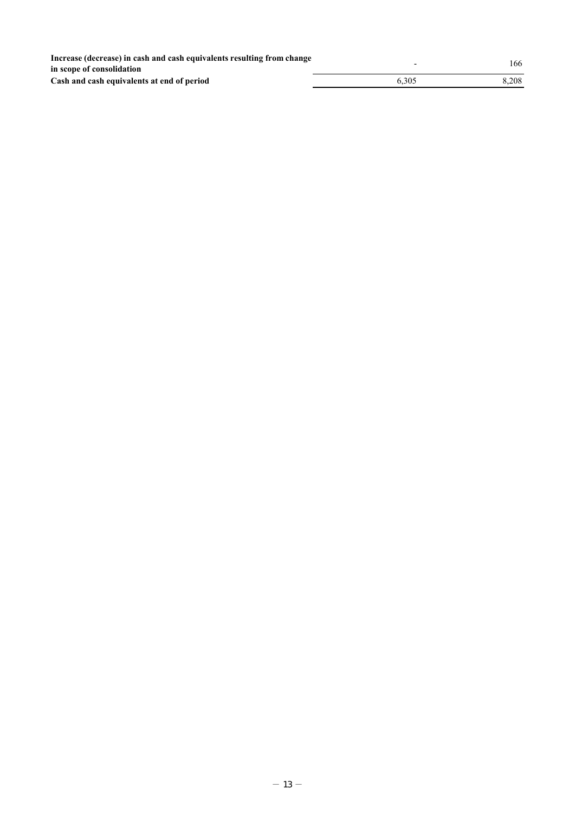|       | 166                      |
|-------|--------------------------|
|       |                          |
| 6.305 | 8.208                    |
|       | $\overline{\phantom{0}}$ |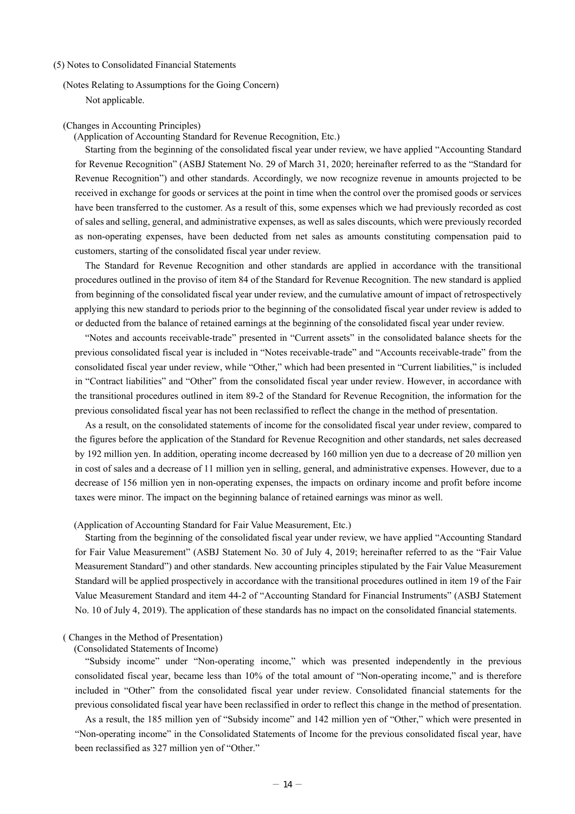#### (5) Notes to Consolidated Financial Statements

(Notes Relating to Assumptions for the Going Concern) Not applicable.

#### (Changes in Accounting Principles)

### (Application of Accounting Standard for Revenue Recognition, Etc.)

Starting from the beginning of the consolidated fiscal year under review, we have applied "Accounting Standard for Revenue Recognition" (ASBJ Statement No. 29 of March 31, 2020; hereinafter referred to as the "Standard for Revenue Recognition") and other standards. Accordingly, we now recognize revenue in amounts projected to be received in exchange for goods or services at the point in time when the control over the promised goods or services have been transferred to the customer. As a result of this, some expenses which we had previously recorded as cost of sales and selling, general, and administrative expenses, as well as sales discounts, which were previously recorded as non-operating expenses, have been deducted from net sales as amounts constituting compensation paid to customers, starting of the consolidated fiscal year under review.

The Standard for Revenue Recognition and other standards are applied in accordance with the transitional procedures outlined in the proviso of item 84 of the Standard for Revenue Recognition. The new standard is applied from beginning of the consolidated fiscal year under review, and the cumulative amount of impact of retrospectively applying this new standard to periods prior to the beginning of the consolidated fiscal year under review is added to or deducted from the balance of retained earnings at the beginning of the consolidated fiscal year under review.

"Notes and accounts receivable-trade" presented in "Current assets" in the consolidated balance sheets for the previous consolidated fiscal year is included in "Notes receivable-trade" and "Accounts receivable-trade" from the consolidated fiscal year under review, while "Other," which had been presented in "Current liabilities," is included in "Contract liabilities" and "Other" from the consolidated fiscal year under review. However, in accordance with the transitional procedures outlined in item 89-2 of the Standard for Revenue Recognition, the information for the previous consolidated fiscal year has not been reclassified to reflect the change in the method of presentation.

As a result, on the consolidated statements of income for the consolidated fiscal year under review, compared to the figures before the application of the Standard for Revenue Recognition and other standards, net sales decreased by 192 million yen. In addition, operating income decreased by 160 million yen due to a decrease of 20 million yen in cost of sales and a decrease of 11 million yen in selling, general, and administrative expenses. However, due to a decrease of 156 million yen in non-operating expenses, the impacts on ordinary income and profit before income taxes were minor. The impact on the beginning balance of retained earnings was minor as well.

### (Application of Accounting Standard for Fair Value Measurement, Etc.)

Starting from the beginning of the consolidated fiscal year under review, we have applied "Accounting Standard for Fair Value Measurement" (ASBJ Statement No. 30 of July 4, 2019; hereinafter referred to as the "Fair Value Measurement Standard") and other standards. New accounting principles stipulated by the Fair Value Measurement Standard will be applied prospectively in accordance with the transitional procedures outlined in item 19 of the Fair Value Measurement Standard and item 44-2 of "Accounting Standard for Financial Instruments" (ASBJ Statement No. 10 of July 4, 2019). The application of these standards has no impact on the consolidated financial statements.

### ( Changes in the Method of Presentation)

### (Consolidated Statements of Income)

"Subsidy income" under "Non-operating income," which was presented independently in the previous consolidated fiscal year, became less than 10% of the total amount of "Non-operating income," and is therefore included in "Other" from the consolidated fiscal year under review. Consolidated financial statements for the previous consolidated fiscal year have been reclassified in order to reflect this change in the method of presentation.

As a result, the 185 million yen of "Subsidy income" and 142 million yen of "Other," which were presented in "Non-operating income" in the Consolidated Statements of Income for the previous consolidated fiscal year, have been reclassified as 327 million yen of "Other."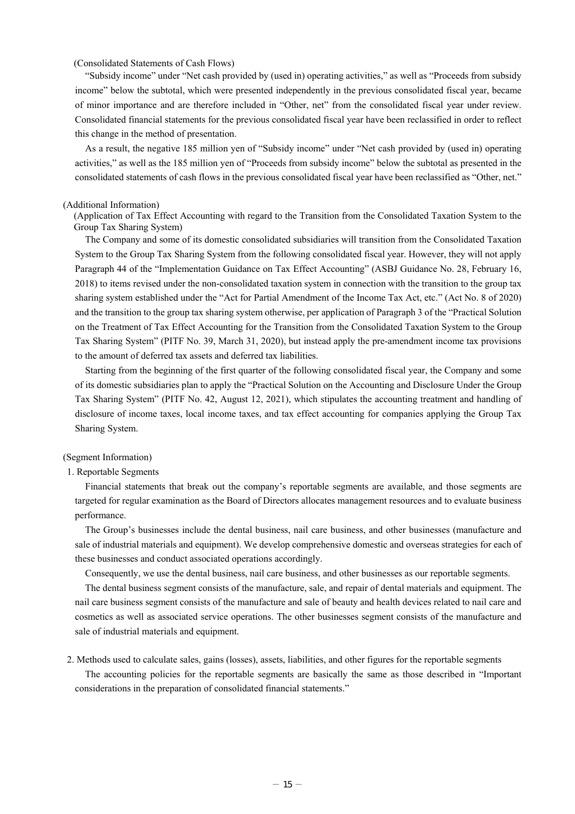### (Consolidated Statements of Cash Flows)

"Subsidy income" under "Net cash provided by (used in) operating activities," as well as "Proceeds from subsidy income" below the subtotal, which were presented independently in the previous consolidated fiscal year, became of minor importance and are therefore included in "Other, net" from the consolidated fiscal year under review. Consolidated financial statements for the previous consolidated fiscal year have been reclassified in order to reflect this change in the method of presentation.

As a result, the negative 185 million yen of "Subsidy income" under "Net cash provided by (used in) operating activities," as well as the 185 million yen of "Proceeds from subsidy income" below the subtotal as presented in the consolidated statements of cash flows in the previous consolidated fiscal year have been reclassified as "Other, net."

#### (Additional Information)

(Application of Tax Effect Accounting with regard to the Transition from the Consolidated Taxation System to the Group Tax Sharing System)

The Company and some of its domestic consolidated subsidiaries will transition from the Consolidated Taxation System to the Group Tax Sharing System from the following consolidated fiscal year. However, they will not apply Paragraph 44 of the "Implementation Guidance on Tax Effect Accounting" (ASBJ Guidance No. 28, February 16, 2018) to items revised under the non-consolidated taxation system in connection with the transition to the group tax sharing system established under the "Act for Partial Amendment of the Income Tax Act, etc." (Act No. 8 of 2020) and the transition to the group tax sharing system otherwise, per application of Paragraph 3 of the "Practical Solution on the Treatment of Tax Effect Accounting for the Transition from the Consolidated Taxation System to the Group Tax Sharing System" (PITF No. 39, March 31, 2020), but instead apply the pre-amendment income tax provisions to the amount of deferred tax assets and deferred tax liabilities.

Starting from the beginning of the first quarter of the following consolidated fiscal year, the Company and some of its domestic subsidiaries plan to apply the "Practical Solution on the Accounting and Disclosure Under the Group Tax Sharing System" (PITF No. 42, August 12, 2021), which stipulates the accounting treatment and handling of disclosure of income taxes, local income taxes, and tax effect accounting for companies applying the Group Tax Sharing System.

### (Segment Information)

#### 1. Reportable Segments

Financial statements that break out the company's reportable segments are available, and those segments are targeted for regular examination as the Board of Directors allocates management resources and to evaluate business performance.

The Group's businesses include the dental business, nail care business, and other businesses (manufacture and sale of industrial materials and equipment). We develop comprehensive domestic and overseas strategies for each of these businesses and conduct associated operations accordingly.

Consequently, we use the dental business, nail care business, and other businesses as our reportable segments.

The dental business segment consists of the manufacture, sale, and repair of dental materials and equipment. The nail care business segment consists of the manufacture and sale of beauty and health devices related to nail care and cosmetics as well as associated service operations. The other businesses segment consists of the manufacture and sale of industrial materials and equipment.

### 2. Methods used to calculate sales, gains (losses), assets, liabilities, and other figures for the reportable segments

The accounting policies for the reportable segments are basically the same as those described in "Important considerations in the preparation of consolidated financial statements."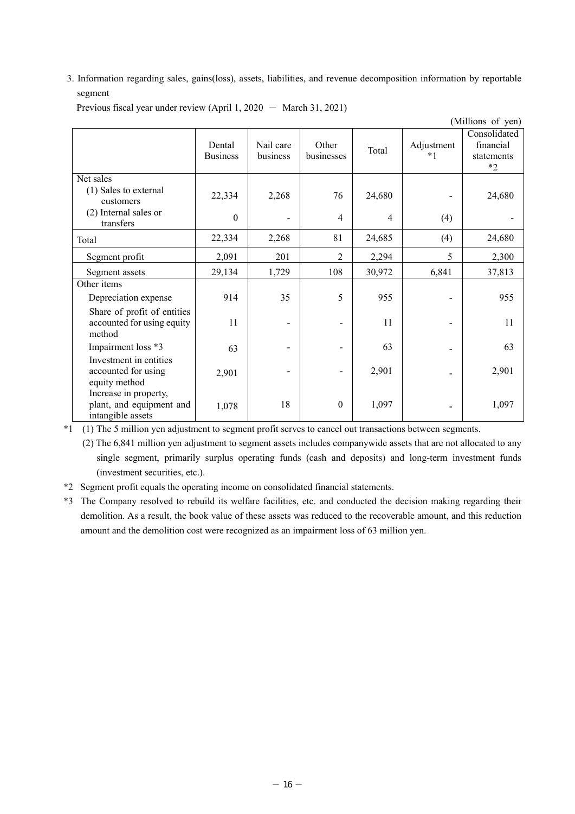3. Information regarding sales, gains(loss), assets, liabilities, and revenue decomposition information by reportable segment

| Previous fiscal year under review (April 1, 2020 $-$ March 31, 2021) |  |
|----------------------------------------------------------------------|--|
|----------------------------------------------------------------------|--|

|                                                                        |                           |                       |                     |                |                    | (Millions of yen)                               |
|------------------------------------------------------------------------|---------------------------|-----------------------|---------------------|----------------|--------------------|-------------------------------------------------|
|                                                                        | Dental<br><b>Business</b> | Nail care<br>business | Other<br>businesses | Total          | Adjustment<br>$*1$ | Consolidated<br>financial<br>statements<br>$*2$ |
| Net sales<br>(1) Sales to external<br>customers                        | 22,334                    | 2,268                 | 76                  | 24,680         |                    | 24,680                                          |
| (2) Internal sales or<br>transfers                                     | $\mathbf{0}$              |                       | $\overline{4}$      | $\overline{4}$ | (4)                |                                                 |
| Total                                                                  | 22,334                    | 2,268                 | 81                  | 24,685         | (4)                | 24,680                                          |
| Segment profit                                                         | 2,091                     | 201                   | $\overline{2}$      | 2,294          | 5                  | 2,300                                           |
| Segment assets                                                         | 29,134                    | 1,729                 | 108                 | 30,972         | 6,841              | 37,813                                          |
| Other items                                                            |                           |                       |                     |                |                    |                                                 |
| Depreciation expense                                                   | 914                       | 35                    | 5                   | 955            |                    | 955                                             |
| Share of profit of entities<br>accounted for using equity<br>method    | 11                        |                       |                     | 11             |                    | 11                                              |
| Impairment loss *3                                                     | 63                        |                       |                     | 63             |                    | 63                                              |
| Investment in entities<br>accounted for using<br>equity method         | 2,901                     |                       |                     | 2,901          |                    | 2,901                                           |
| Increase in property,<br>plant, and equipment and<br>intangible assets | 1,078                     | 18                    | $\boldsymbol{0}$    | 1,097          |                    | 1,097                                           |

\*1 (1) The 5 million yen adjustment to segment profit serves to cancel out transactions between segments.

 (2) The 6,841 million yen adjustment to segment assets includes companywide assets that are not allocated to any single segment, primarily surplus operating funds (cash and deposits) and long-term investment funds (investment securities, etc.).

- \*2 Segment profit equals the operating income on consolidated financial statements.
- \*3 The Company resolved to rebuild its welfare facilities, etc. and conducted the decision making regarding their demolition. As a result, the book value of these assets was reduced to the recoverable amount, and this reduction amount and the demolition cost were recognized as an impairment loss of 63 million yen.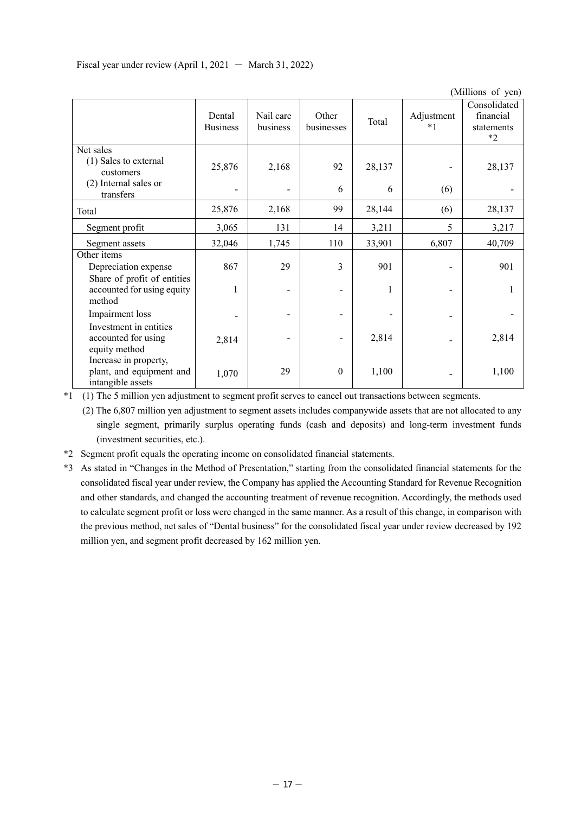|                                                                        |                           |                       |                     |        |                    | (Millions of yen)                               |
|------------------------------------------------------------------------|---------------------------|-----------------------|---------------------|--------|--------------------|-------------------------------------------------|
|                                                                        | Dental<br><b>Business</b> | Nail care<br>business | Other<br>businesses | Total  | Adjustment<br>$*1$ | Consolidated<br>financial<br>statements<br>$*2$ |
| Net sales<br>(1) Sales to external<br>customers                        | 25,876                    | 2,168                 | 92                  | 28,137 |                    | 28,137                                          |
| (2) Internal sales or<br>transfers                                     |                           |                       | 6                   | 6      | (6)                |                                                 |
| Total                                                                  | 25,876                    | 2,168                 | 99                  | 28,144 | (6)                | 28,137                                          |
| Segment profit                                                         | 3,065                     | 131                   | 14                  | 3,211  | 5                  | 3,217                                           |
| Segment assets                                                         | 32,046                    | 1,745                 | 110                 | 33,901 | 6,807              | 40,709                                          |
| Other items<br>Depreciation expense<br>Share of profit of entities     | 867                       | 29                    | 3                   | 901    |                    | 901                                             |
| accounted for using equity<br>method                                   | 1                         |                       |                     | 1      |                    |                                                 |
| Impairment loss                                                        |                           |                       |                     |        |                    |                                                 |
| Investment in entities<br>accounted for using<br>equity method         | 2,814                     |                       |                     | 2,814  |                    | 2,814                                           |
| Increase in property,<br>plant, and equipment and<br>intangible assets | 1,070                     | 29                    | $\mathbf{0}$        | 1,100  |                    | 1,100                                           |

Fiscal year under review (April 1, 2021 - March 31, 2022)

\*1 (1) The 5 million yen adjustment to segment profit serves to cancel out transactions between segments.

 (2) The 6,807 million yen adjustment to segment assets includes companywide assets that are not allocated to any single segment, primarily surplus operating funds (cash and deposits) and long-term investment funds (investment securities, etc.).

- \*2 Segment profit equals the operating income on consolidated financial statements.
- \*3 As stated in "Changes in the Method of Presentation," starting from the consolidated financial statements for the consolidated fiscal year under review, the Company has applied the Accounting Standard for Revenue Recognition and other standards, and changed the accounting treatment of revenue recognition. Accordingly, the methods used to calculate segment profit or loss were changed in the same manner. As a result of this change, in comparison with the previous method, net sales of "Dental business" for the consolidated fiscal year under review decreased by 192 million yen, and segment profit decreased by 162 million yen.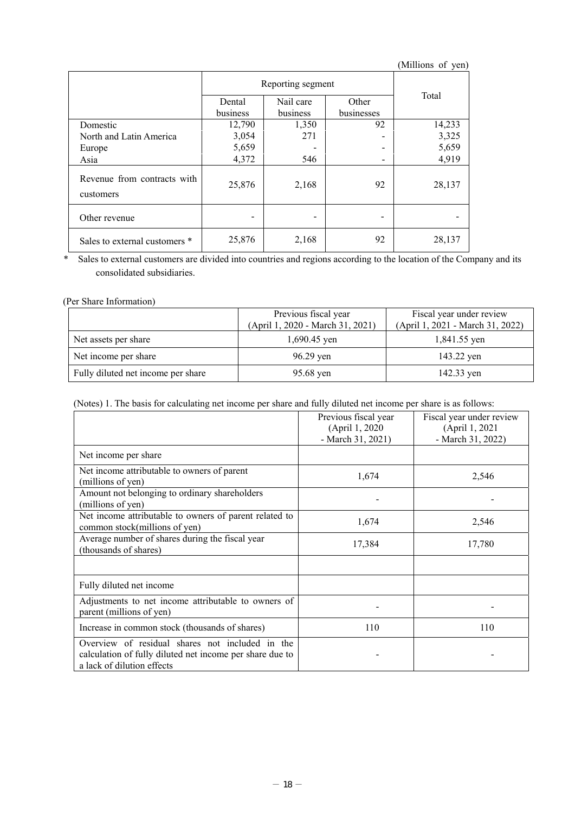|                                          |                    |                       |                     | (Millions of yen) |
|------------------------------------------|--------------------|-----------------------|---------------------|-------------------|
|                                          | Reporting segment  |                       |                     |                   |
|                                          | Dental<br>business | Nail care<br>business | Other<br>businesses | Total             |
| Domestic                                 | 12,790             | 1,350                 | 92                  | 14,233            |
| North and Latin America                  | 3,054              | 271                   |                     | 3,325             |
| Europe                                   | 5,659              |                       |                     | 5,659             |
| Asia                                     | 4,372              | 546                   |                     | 4,919             |
| Revenue from contracts with<br>customers | 25,876             | 2,168                 | 92                  | 28,137            |
| Other revenue                            |                    |                       | $\qquad \qquad$     |                   |
| Sales to external customers *            | 25,876             | 2,168                 | 92                  | 28,137            |

\* Sales to external customers are divided into countries and regions according to the location of the Company and its consolidated subsidiaries.

### (Per Share Information)

|                                    | Previous fiscal year             | Fiscal year under review         |  |
|------------------------------------|----------------------------------|----------------------------------|--|
|                                    | (April 1, 2020 - March 31, 2021) | (April 1, 2021 - March 31, 2022) |  |
| Net assets per share               | $1,690.45$ yen                   | 1,841.55 yen                     |  |
| Net income per share               | 96.29 yen                        | 143.22 yen                       |  |
| Fully diluted net income per share | 95.68 yen                        | 142.33 yen                       |  |

(Notes) 1. The basis for calculating net income per share and fully diluted net income per share is as follows:

|                                                                                                                                           | Previous fiscal year<br>(April 1, 2020)<br>- March 31, 2021) | Fiscal year under review<br>(April 1, 2021)<br>- March 31, 2022) |
|-------------------------------------------------------------------------------------------------------------------------------------------|--------------------------------------------------------------|------------------------------------------------------------------|
| Net income per share                                                                                                                      |                                                              |                                                                  |
| Net income attributable to owners of parent<br>(millions of yen)                                                                          | 1,674                                                        | 2,546                                                            |
| Amount not belonging to ordinary shareholders<br>(millions of yen)                                                                        |                                                              |                                                                  |
| Net income attributable to owners of parent related to<br>common stock(millions of yen)                                                   | 1,674                                                        | 2,546                                                            |
| Average number of shares during the fiscal year<br>(thousands of shares)                                                                  | 17,384                                                       | 17,780                                                           |
|                                                                                                                                           |                                                              |                                                                  |
| Fully diluted net income                                                                                                                  |                                                              |                                                                  |
| Adjustments to net income attributable to owners of<br>parent (millions of yen)                                                           |                                                              |                                                                  |
| Increase in common stock (thousands of shares)                                                                                            | 110                                                          | 110                                                              |
| Overview of residual shares not included in the<br>calculation of fully diluted net income per share due to<br>a lack of dilution effects |                                                              |                                                                  |